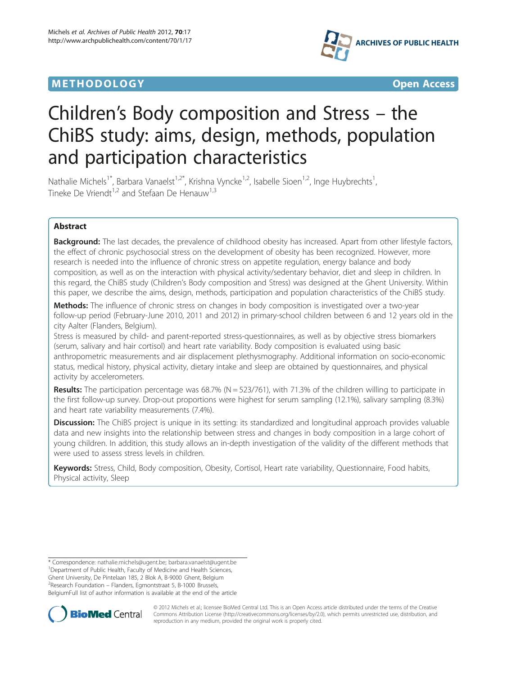## **METHODOLOGY CONSUMING ACCESS**



# Children's Body composition and Stress – the ChiBS study: aims, design, methods, population and participation characteristics

Nathalie Michels<sup>1\*</sup>, Barbara Vanaelst<sup>1,2\*</sup>, Krishna Vyncke<sup>1,2</sup>, Isabelle Sioen<sup>1,2</sup>, Inge Huybrechts<sup>1</sup>, , Tineke De Vriendt<sup>1,2</sup> and Stefaan De Henauw<sup>1,3</sup>

## Abstract

**Background:** The last decades, the prevalence of childhood obesity has increased. Apart from other lifestyle factors, the effect of chronic psychosocial stress on the development of obesity has been recognized. However, more research is needed into the influence of chronic stress on appetite regulation, energy balance and body composition, as well as on the interaction with physical activity/sedentary behavior, diet and sleep in children. In this regard, the ChiBS study (Children's Body composition and Stress) was designed at the Ghent University. Within this paper, we describe the aims, design, methods, participation and population characteristics of the ChiBS study.

Methods: The influence of chronic stress on changes in body composition is investigated over a two-year follow-up period (February-June 2010, 2011 and 2012) in primary-school children between 6 and 12 years old in the city Aalter (Flanders, Belgium).

Stress is measured by child- and parent-reported stress-questionnaires, as well as by objective stress biomarkers (serum, salivary and hair cortisol) and heart rate variability. Body composition is evaluated using basic anthropometric measurements and air displacement plethysmography. Additional information on socio-economic status, medical history, physical activity, dietary intake and sleep are obtained by questionnaires, and physical activity by accelerometers.

**Results:** The participation percentage was 68.7% ( $N = 523/761$ ), with 71.3% of the children willing to participate in the first follow-up survey. Drop-out proportions were highest for serum sampling (12.1%), salivary sampling (8.3%) and heart rate variability measurements (7.4%).

**Discussion:** The ChiBS project is unique in its setting: its standardized and longitudinal approach provides valuable data and new insights into the relationship between stress and changes in body composition in a large cohort of young children. In addition, this study allows an in-depth investigation of the validity of the different methods that were used to assess stress levels in children.

Keywords: Stress, Child, Body composition, Obesity, Cortisol, Heart rate variability, Questionnaire, Food habits, Physical activity, Sleep

\* Correspondence: [nathalie.michels@ugent.be](mailto:nathalie.michels@ugent.be); [barbara.vanaelst@ugent.be](mailto:barbara.vanaelst@ugent.be) <sup>1</sup> <sup>1</sup>Department of Public Health, Faculty of Medicine and Health Sciences, Ghent University, De Pintelaan 185, 2 Blok A, B-9000 Ghent, Belgium 2 Research Foundation – Flanders, Egmontstraat 5, B-1000 Brussels, BelgiumFull list of author information is available at the end of the article



© 2012 Michels et al.; licensee BioMed Central Ltd. This is an Open Access article distributed under the terms of the Creative Commons Attribution License [\(http://creativecommons.org/licenses/by/2.0\)](http://creativecommons.org/licenses/by/2.0), which permits unrestricted use, distribution, and reproduction in any medium, provided the original work is properly cited.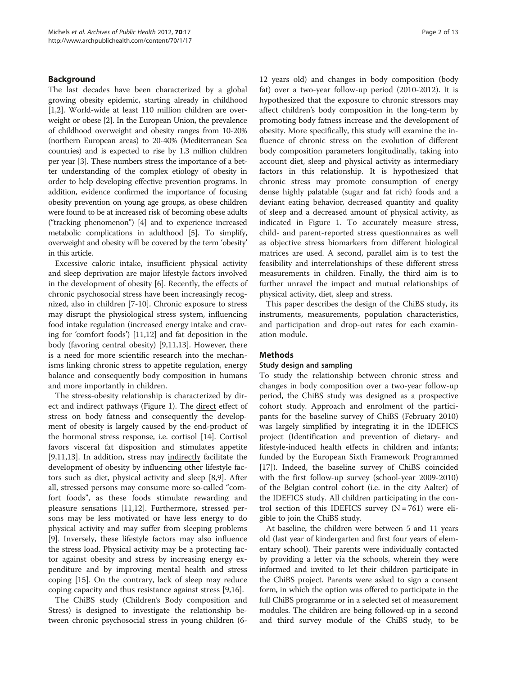#### Background

The last decades have been characterized by a global growing obesity epidemic, starting already in childhood [[1,2](#page-11-0)]. World-wide at least 110 million children are overweight or obese [\[2](#page-11-0)]. In the European Union, the prevalence of childhood overweight and obesity ranges from 10-20% (northern European areas) to 20-40% (Mediterranean Sea countries) and is expected to rise by 1.3 million children per year [\[3\]](#page-11-0). These numbers stress the importance of a better understanding of the complex etiology of obesity in order to help developing effective prevention programs. In addition, evidence confirmed the importance of focusing obesity prevention on young age groups, as obese children were found to be at increased risk of becoming obese adults ("tracking phenomenon") [[4\]](#page-11-0) and to experience increased metabolic complications in adulthood [\[5](#page-11-0)]. To simplify, overweight and obesity will be covered by the term 'obesity' in this article.

Excessive caloric intake, insufficient physical activity and sleep deprivation are major lifestyle factors involved in the development of obesity [[6\]](#page-11-0). Recently, the effects of chronic psychosocial stress have been increasingly recognized, also in children [[7-10](#page-11-0)]. Chronic exposure to stress may disrupt the physiological stress system, influencing food intake regulation (increased energy intake and craving for 'comfort foods') [\[11,12](#page-11-0)] and fat deposition in the body (favoring central obesity) [\[9,11,13\]](#page-11-0). However, there is a need for more scientific research into the mechanisms linking chronic stress to appetite regulation, energy balance and consequently body composition in humans and more importantly in children.

The stress-obesity relationship is characterized by direct and indirect pathways (Figure [1\)](#page-2-0). The direct effect of stress on body fatness and consequently the development of obesity is largely caused by the end-product of the hormonal stress response, i.e. cortisol [[14\]](#page-11-0). Cortisol favors visceral fat disposition and stimulates appetite [[9,11,13\]](#page-11-0). In addition, stress may indirectly facilitate the development of obesity by influencing other lifestyle factors such as diet, physical activity and sleep [\[8,9](#page-11-0)]. After all, stressed persons may consume more so-called "comfort foods", as these foods stimulate rewarding and pleasure sensations [\[11,12](#page-11-0)]. Furthermore, stressed persons may be less motivated or have less energy to do physical activity and may suffer from sleeping problems [[9\]](#page-11-0). Inversely, these lifestyle factors may also influence the stress load. Physical activity may be a protecting factor against obesity and stress by increasing energy expenditure and by improving mental health and stress coping [\[15](#page-11-0)]. On the contrary, lack of sleep may reduce coping capacity and thus resistance against stress [[9](#page-11-0),[16](#page-11-0)].

The ChiBS study (Children's Body composition and Stress) is designed to investigate the relationship between chronic psychosocial stress in young children (6-

12 years old) and changes in body composition (body fat) over a two-year follow-up period (2010-2012). It is hypothesized that the exposure to chronic stressors may affect children's body composition in the long-term by promoting body fatness increase and the development of obesity. More specifically, this study will examine the influence of chronic stress on the evolution of different body composition parameters longitudinally, taking into account diet, sleep and physical activity as intermediary factors in this relationship. It is hypothesized that chronic stress may promote consumption of energy dense highly palatable (sugar and fat rich) foods and a deviant eating behavior, decreased quantity and quality of sleep and a decreased amount of physical activity, as indicated in Figure [1](#page-2-0). To accurately measure stress, child- and parent-reported stress questionnaires as well as objective stress biomarkers from different biological matrices are used. A second, parallel aim is to test the feasibility and interrelationships of these different stress measurements in children. Finally, the third aim is to further unravel the impact and mutual relationships of physical activity, diet, sleep and stress.

This paper describes the design of the ChiBS study, its instruments, measurements, population characteristics, and participation and drop-out rates for each examination module.

#### Methods

#### Study design and sampling

To study the relationship between chronic stress and changes in body composition over a two-year follow-up period, the ChiBS study was designed as a prospective cohort study. Approach and enrolment of the participants for the baseline survey of ChiBS (February 2010) was largely simplified by integrating it in the IDEFICS project (Identification and prevention of dietary- and lifestyle-induced health effects in children and infants; funded by the European Sixth Framework Programmed [[17\]](#page-11-0)). Indeed, the baseline survey of ChiBS coincided with the first follow-up survey (school-year 2009-2010) of the Belgian control cohort (i.e. in the city Aalter) of the IDEFICS study. All children participating in the control section of this IDEFICS survey  $(N = 761)$  were eligible to join the ChiBS study.

At baseline, the children were between 5 and 11 years old (last year of kindergarten and first four years of elementary school). Their parents were individually contacted by providing a letter via the schools, wherein they were informed and invited to let their children participate in the ChiBS project. Parents were asked to sign a consent form, in which the option was offered to participate in the full ChiBS programme or in a selected set of measurement modules. The children are being followed-up in a second and third survey module of the ChiBS study, to be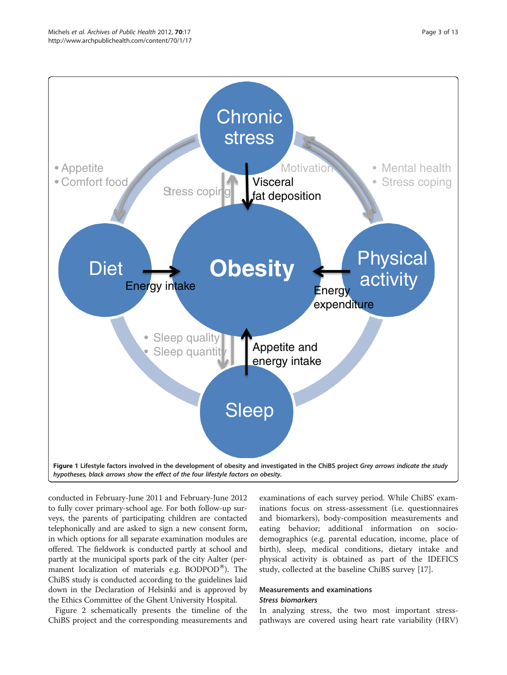<span id="page-2-0"></span>

conducted in February-June 2011 and February-June 2012 to fully cover primary-school age. For both follow-up surveys, the parents of participating children are contacted telephonically and are asked to sign a new consent form, in which options for all separate examination modules are offered. The fieldwork is conducted partly at school and partly at the municipal sports park of the city Aalter (permanent localization of materials e.g.  $BODPOD^{\circledast}$ ). The ChiBS study is conducted according to the guidelines laid down in the Declaration of Helsinki and is approved by the Ethics Committee of the Ghent University Hospital.

Figure [2](#page-4-0) schematically presents the timeline of the ChiBS project and the corresponding measurements and

examinations of each survey period. While ChiBS' examinations focus on stress-assessment (i.e. questionnaires and biomarkers), body-composition measurements and eating behavior; additional information on sociodemographics (e.g. parental education, income, place of birth), sleep, medical conditions, dietary intake and physical activity is obtained as part of the IDEFICS study, collected at the baseline ChiBS survey [[17\]](#page-11-0).

## Measurements and examinations Stress biomarkers

In analyzing stress, the two most important stresspathways are covered using heart rate variability (HRV)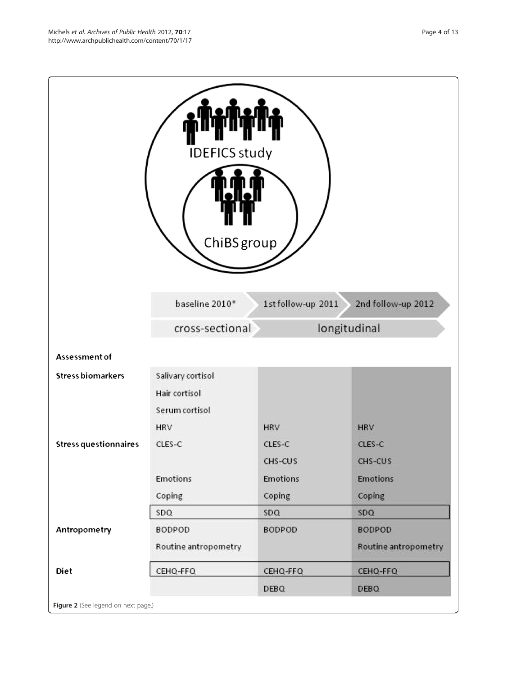|                          | <b>IDEFICS study</b><br>ChiBS group<br>baseline 2010* | 1st follow-up 2011              | 2nd follow-up 2012                    |
|--------------------------|-------------------------------------------------------|---------------------------------|---------------------------------------|
|                          | cross-sectional                                       |                                 | longitudinal                          |
| Assessment of            |                                                       |                                 |                                       |
| <b>Stress biomarkers</b> | Salivary cortisol<br>Hair cortisol<br>Serum cortisol  |                                 |                                       |
| Stress questionnaires    | <b>HRV</b><br>CLES-C                                  | <b>HRV</b><br>CLES-C<br>CHS-CUS | <b>HRV</b><br>CLES-C<br>CHS-CUS       |
|                          | <b>Emotions</b><br>Coping                             | <b>Emotions</b><br>Coping       | <b>Emotions</b><br>Coping             |
|                          | SDQ                                                   | SDQ.                            | SDQ                                   |
| Antropometry             | <b>BODPOD</b><br>Routine antropometry                 | <b>BODPOD</b>                   | <b>BODPOD</b><br>Routine antropometry |
|                          |                                                       |                                 |                                       |
| <b>Diet</b>              | CEHQ-FFQ                                              | CEHQ-FFQ                        | CEHQ-FFQ                              |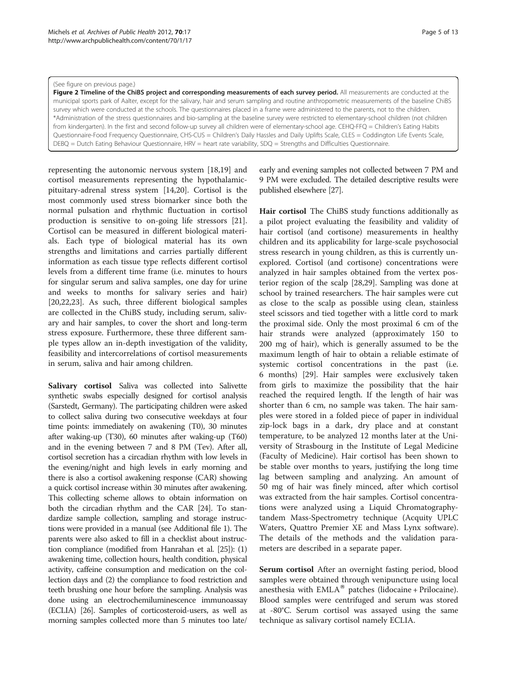#### <span id="page-4-0"></span>(See figure on previous page.)

Figure 2 Timeline of the ChiBS project and corresponding measurements of each survey period. All measurements are conducted at the municipal sports park of Aalter, except for the salivary, hair and serum sampling and routine anthropometric measurements of the baseline ChiBS survey which were conducted at the schools. The questionnaires placed in a frame were administered to the parents, not to the children. \*Administration of the stress questionnaires and bio-sampling at the baseline survey were restricted to elementary-school children (not children from kindergarten). In the first and second follow-up survey all children were of elementary-school age. CEHQ-FFQ = Children's Eating Habits Questionnaire-Food Frequency Questionnaire, CHS-CUS = Children's Daily Hassles and Daily Uplifts Scale, CLES = Coddington Life Events Scale, DEBQ = Dutch Eating Behaviour Questionnaire, HRV = heart rate variability, SDQ = Strengths and Difficulties Questionnaire.

representing the autonomic nervous system [[18,19](#page-11-0)] and cortisol measurements representing the hypothalamicpituitary-adrenal stress system [[14,20\]](#page-11-0). Cortisol is the most commonly used stress biomarker since both the normal pulsation and rhythmic fluctuation in cortisol production is sensitive to on-going life stressors [\[21](#page-11-0)]. Cortisol can be measured in different biological materials. Each type of biological material has its own strengths and limitations and carries partially different information as each tissue type reflects different cortisol levels from a different time frame (i.e. minutes to hours for singular serum and saliva samples, one day for urine and weeks to months for salivary series and hair) [[20,22,23\]](#page-11-0). As such, three different biological samples are collected in the ChiBS study, including serum, salivary and hair samples, to cover the short and long-term stress exposure. Furthermore, these three different sample types allow an in-depth investigation of the validity, feasibility and intercorrelations of cortisol measurements in serum, saliva and hair among children.

Salivary cortisol Saliva was collected into Salivette synthetic swabs especially designed for cortisol analysis (Sarstedt, Germany). The participating children were asked to collect saliva during two consecutive weekdays at four time points: immediately on awakening (T0), 30 minutes after waking-up (T30), 60 minutes after waking-up (T60) and in the evening between 7 and 8 PM (Tev). After all, cortisol secretion has a circadian rhythm with low levels in the evening/night and high levels in early morning and there is also a cortisol awakening response (CAR) showing a quick cortisol increase within 30 minutes after awakening. This collecting scheme allows to obtain information on both the circadian rhythm and the CAR [\[24\]](#page-11-0). To standardize sample collection, sampling and storage instructions were provided in a manual (see Additional file [1](#page-11-0)). The parents were also asked to fill in a checklist about instruction compliance (modified from Hanrahan et al. [\[25\]](#page-11-0)): (1) awakening time, collection hours, health condition, physical activity, caffeine consumption and medication on the collection days and (2) the compliance to food restriction and teeth brushing one hour before the sampling. Analysis was done using an electrochemiluminescence immunoassay (ECLIA) [\[26\]](#page-11-0). Samples of corticosteroid-users, as well as morning samples collected more than 5 minutes too late/ early and evening samples not collected between 7 PM and 9 PM were excluded. The detailed descriptive results were published elsewhere [\[27](#page-11-0)].

Hair cortisol The ChiBS study functions additionally as a pilot project evaluating the feasibility and validity of hair cortisol (and cortisone) measurements in healthy children and its applicability for large-scale psychosocial stress research in young children, as this is currently unexplored. Cortisol (and cortisone) concentrations were analyzed in hair samples obtained from the vertex posterior region of the scalp [[28,29\]](#page-11-0). Sampling was done at school by trained researchers. The hair samples were cut as close to the scalp as possible using clean, stainless steel scissors and tied together with a little cord to mark the proximal side. Only the most proximal 6 cm of the hair strands were analyzed (approximately 150 to 200 mg of hair), which is generally assumed to be the maximum length of hair to obtain a reliable estimate of systemic cortisol concentrations in the past (i.e. 6 months) [[29](#page-11-0)]. Hair samples were exclusively taken from girls to maximize the possibility that the hair reached the required length. If the length of hair was shorter than 6 cm, no sample was taken. The hair samples were stored in a folded piece of paper in individual zip-lock bags in a dark, dry place and at constant temperature, to be analyzed 12 months later at the University of Strasbourg in the Institute of Legal Medicine (Faculty of Medicine). Hair cortisol has been shown to be stable over months to years, justifying the long time lag between sampling and analyzing. An amount of 50 mg of hair was finely minced, after which cortisol was extracted from the hair samples. Cortisol concentrations were analyzed using a Liquid Chromatographytandem Mass-Spectrometry technique (Acquity UPLC Waters, Quattro Premier XE and Mass Lynx software). The details of the methods and the validation parameters are described in a separate paper.

Serum cortisol After an overnight fasting period, blood samples were obtained through venipuncture using local anesthesia with  $EMLA^{\circledast}$  patches (lidocaine + Prilocaine). Blood samples were centrifuged and serum was stored at -80°C. Serum cortisol was assayed using the same technique as salivary cortisol namely ECLIA.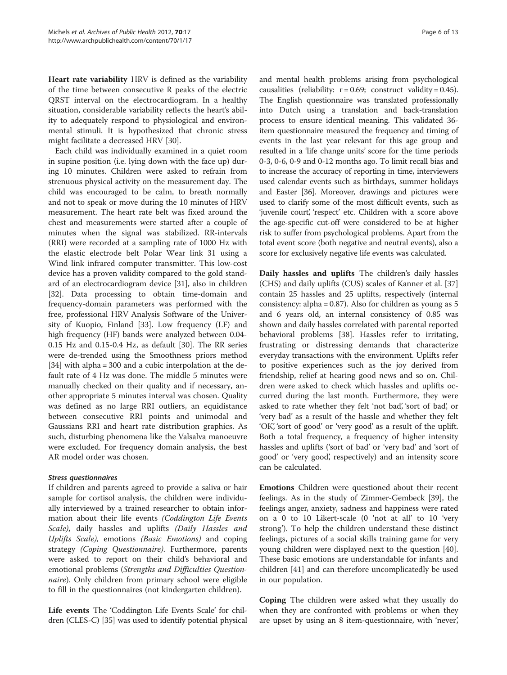Heart rate variability HRV is defined as the variability of the time between consecutive R peaks of the electric QRST interval on the electrocardiogram. In a healthy situation, considerable variability reflects the heart's ability to adequately respond to physiological and environmental stimuli. It is hypothesized that chronic stress might facilitate a decreased HRV [[30](#page-11-0)].

Each child was individually examined in a quiet room in supine position (i.e. lying down with the face up) during 10 minutes. Children were asked to refrain from strenuous physical activity on the measurement day. The child was encouraged to be calm, to breath normally and not to speak or move during the 10 minutes of HRV measurement. The heart rate belt was fixed around the chest and measurements were started after a couple of minutes when the signal was stabilized. RR-intervals (RRI) were recorded at a sampling rate of 1000 Hz with the elastic electrode belt Polar Wear link 31 using a Wind link infrared computer transmitter. This low-cost device has a proven validity compared to the gold standard of an electrocardiogram device [[31\]](#page-11-0), also in children [[32\]](#page-11-0). Data processing to obtain time-domain and frequency-domain parameters was performed with the free, professional HRV Analysis Software of the University of Kuopio, Finland [\[33\]](#page-11-0). Low frequency (LF) and high frequency (HF) bands were analyzed between 0.04- 0.15 Hz and 0.15-0.4 Hz, as default [\[30\]](#page-11-0). The RR series were de-trended using the Smoothness priors method [[34\]](#page-11-0) with alpha = 300 and a cubic interpolation at the default rate of 4 Hz was done. The middle 5 minutes were manually checked on their quality and if necessary, another appropriate 5 minutes interval was chosen. Quality was defined as no large RRI outliers, an equidistance between consecutive RRI points and unimodal and Gaussians RRI and heart rate distribution graphics. As such, disturbing phenomena like the Valsalva manoeuvre were excluded. For frequency domain analysis, the best AR model order was chosen.

## Stress questionnaires

If children and parents agreed to provide a saliva or hair sample for cortisol analysis, the children were individually interviewed by a trained researcher to obtain information about their life events (Coddington Life Events Scale), daily hassles and uplifts (Daily Hassles and Uplifts Scale), emotions (Basic Emotions) and coping strategy (Coping Questionnaire). Furthermore, parents were asked to report on their child's behavioral and emotional problems (Strengths and Difficulties Questionnaire). Only children from primary school were eligible to fill in the questionnaires (not kindergarten children).

Life events The 'Coddington Life Events Scale' for children (CLES-C) [[35](#page-11-0)] was used to identify potential physical

and mental health problems arising from psychological causalities (reliability:  $r = 0.69$ ; construct validity = 0.45). The English questionnaire was translated professionally into Dutch using a translation and back-translation process to ensure identical meaning. This validated 36 item questionnaire measured the frequency and timing of events in the last year relevant for this age group and resulted in a 'life change units' score for the time periods 0-3, 0-6, 0-9 and 0-12 months ago. To limit recall bias and to increase the accuracy of reporting in time, interviewers used calendar events such as birthdays, summer holidays and Easter [\[36\]](#page-11-0). Moreover, drawings and pictures were used to clarify some of the most difficult events, such as 'juvenile court', 'respect' etc. Children with a score above the age-specific cut-off were considered to be at higher risk to suffer from psychological problems. Apart from the total event score (both negative and neutral events), also a score for exclusively negative life events was calculated.

Daily hassles and uplifts The children's daily hassles (CHS) and daily uplifts (CUS) scales of Kanner et al. [[37](#page-11-0)] contain 25 hassles and 25 uplifts, respectively (internal consistency: alpha = 0.87). Also for children as young as 5 and 6 years old, an internal consistency of 0.85 was shown and daily hassles correlated with parental reported behavioral problems [\[38\]](#page-12-0). Hassles refer to irritating, frustrating or distressing demands that characterize everyday transactions with the environment. Uplifts refer to positive experiences such as the joy derived from friendship, relief at hearing good news and so on. Children were asked to check which hassles and uplifts occurred during the last month. Furthermore, they were asked to rate whether they felt 'not bad', 'sort of bad', or 'very bad' as a result of the hassle and whether they felt 'OK', 'sort of good' or 'very good' as a result of the uplift. Both a total frequency, a frequency of higher intensity hassles and uplifts ('sort of bad' or 'very bad' and 'sort of good' or 'very good', respectively) and an intensity score can be calculated.

Emotions Children were questioned about their recent feelings. As in the study of Zimmer-Gembeck [\[39](#page-12-0)], the feelings anger, anxiety, sadness and happiness were rated on a 0 to 10 Likert-scale (0 'not at all' to 10 'very strong'). To help the children understand these distinct feelings, pictures of a social skills training game for very young children were displayed next to the question [\[40](#page-12-0)]. These basic emotions are understandable for infants and children [[41](#page-12-0)] and can therefore uncomplicatedly be used in our population.

Coping The children were asked what they usually do when they are confronted with problems or when they are upset by using an 8 item-questionnaire, with 'never',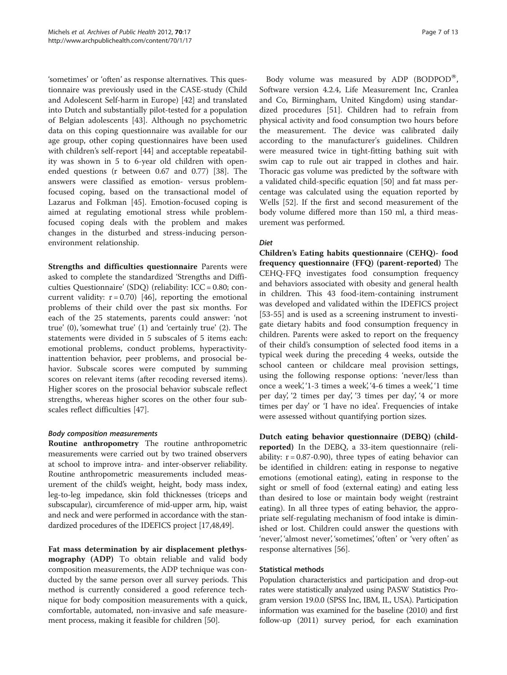'sometimes' or 'often' as response alternatives. This questionnaire was previously used in the CASE-study (Child and Adolescent Self-harm in Europe) [\[42\]](#page-12-0) and translated into Dutch and substantially pilot-tested for a population of Belgian adolescents [\[43\]](#page-12-0). Although no psychometric data on this coping questionnaire was available for our age group, other coping questionnaires have been used with children's self-report [[44\]](#page-12-0) and acceptable repeatability was shown in 5 to 6-year old children with openended questions (r between 0.67 and 0.77) [[38\]](#page-12-0). The answers were classified as emotion- versus problemfocused coping, based on the transactional model of Lazarus and Folkman [\[45\]](#page-12-0). Emotion-focused coping is aimed at regulating emotional stress while problemfocused coping deals with the problem and makes changes in the disturbed and stress-inducing personenvironment relationship.

Strengths and difficulties questionnaire Parents were asked to complete the standardized 'Strengths and Difficulties Questionnaire' (SDQ) (reliability: ICC = 0.80; concurrent validity:  $r = 0.70$  [[46\]](#page-12-0), reporting the emotional problems of their child over the past six months. For each of the 25 statements, parents could answer: 'not true' (0), 'somewhat true' (1) and 'certainly true' (2). The statements were divided in 5 subscales of 5 items each: emotional problems, conduct problems, hyperactivityinattention behavior, peer problems, and prosocial behavior. Subscale scores were computed by summing scores on relevant items (after recoding reversed items). Higher scores on the prosocial behavior subscale reflect strengths, whereas higher scores on the other four subscales reflect difficulties [[47\]](#page-12-0).

#### Body composition measurements

Routine anthropometry The routine anthropometric measurements were carried out by two trained observers at school to improve intra- and inter-observer reliability. Routine anthropometric measurements included measurement of the child's weight, height, body mass index, leg-to-leg impedance, skin fold thicknesses (triceps and subscapular), circumference of mid-upper arm, hip, waist and neck and were performed in accordance with the standardized procedures of the IDEFICS project [[17](#page-11-0)[,48,49\]](#page-12-0).

Fat mass determination by air displacement plethysmography (ADP) To obtain reliable and valid body composition measurements, the ADP technique was conducted by the same person over all survey periods. This method is currently considered a good reference technique for body composition measurements with a quick, comfortable, automated, non-invasive and safe measurement process, making it feasible for children [\[50\]](#page-12-0).

Body volume was measured by ADP (BODPOD®, Software version 4.2.4, Life Measurement Inc, Cranlea and Co, Birmingham, United Kingdom) using standardized procedures [\[51\]](#page-12-0). Children had to refrain from physical activity and food consumption two hours before the measurement. The device was calibrated daily according to the manufacturer's guidelines. Children were measured twice in tight-fitting bathing suit with swim cap to rule out air trapped in clothes and hair. Thoracic gas volume was predicted by the software with a validated child-specific equation [[50](#page-12-0)] and fat mass percentage was calculated using the equation reported by Wells [\[52](#page-12-0)]. If the first and second measurement of the body volume differed more than 150 ml, a third measurement was performed.

## **Diet**

Children's Eating habits questionnaire (CEHQ)- food frequency questionnaire (FFQ) (parent-reported) The CEHQ-FFQ investigates food consumption frequency and behaviors associated with obesity and general health in children. This 43 food-item-containing instrument was developed and validated within the IDEFICS project [[53-55](#page-12-0)] and is used as a screening instrument to investigate dietary habits and food consumption frequency in children. Parents were asked to report on the frequency of their child's consumption of selected food items in a typical week during the preceding 4 weeks, outside the school canteen or childcare meal provision settings, using the following response options: 'never/less than once a week', '1-3 times a week', '4-6 times a week', '1 time per day', '2 times per day', '3 times per day', '4 or more times per day' or 'I have no idea'. Frequencies of intake were assessed without quantifying portion sizes.

Dutch eating behavior questionnaire (DEBQ) (childreported) In the DEBQ, a 33-item questionnaire (reliability:  $r = 0.87 - 0.90$ , three types of eating behavior can be identified in children: eating in response to negative emotions (emotional eating), eating in response to the sight or smell of food (external eating) and eating less than desired to lose or maintain body weight (restraint eating). In all three types of eating behavior, the appropriate self-regulating mechanism of food intake is diminished or lost. Children could answer the questions with 'never', 'almost never', 'sometimes', 'often' or 'very often' as response alternatives [[56\]](#page-12-0).

## Statistical methods

Population characteristics and participation and drop-out rates were statistically analyzed using PASW Statistics Program version 19.0.0 (SPSS Inc, IBM, IL, USA). Participation information was examined for the baseline (2010) and first follow-up (2011) survey period, for each examination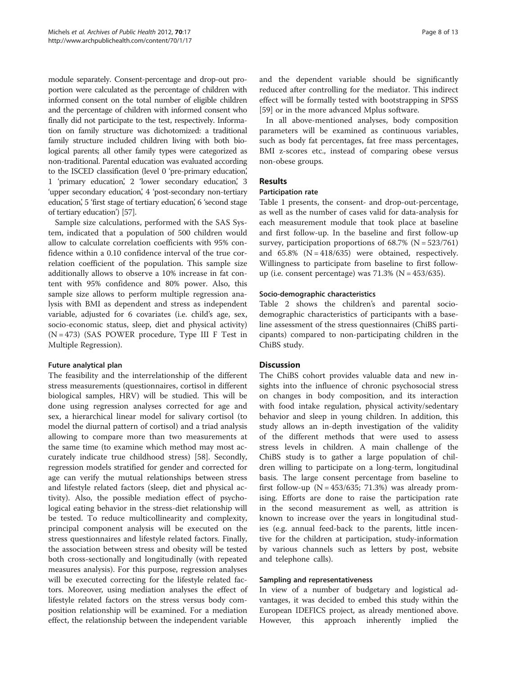module separately. Consent-percentage and drop-out proportion were calculated as the percentage of children with informed consent on the total number of eligible children and the percentage of children with informed consent who finally did not participate to the test, respectively. Information on family structure was dichotomized: a traditional family structure included children living with both biological parents; all other family types were categorized as non-traditional. Parental education was evaluated according to the ISCED classification (level 0 'pre-primary education,' 1 'primary education', 2 'lower secondary education', 3 'upper secondary education', 4 'post-secondary non-tertiary education, 5 'first stage of tertiary education, 6 'second stage of tertiary education') [\[57](#page-12-0)].

Sample size calculations, performed with the SAS System, indicated that a population of 500 children would allow to calculate correlation coefficients with 95% confidence within a 0.10 confidence interval of the true correlation coefficient of the population. This sample size additionally allows to observe a 10% increase in fat content with 95% confidence and 80% power. Also, this sample size allows to perform multiple regression analysis with BMI as dependent and stress as independent variable, adjusted for 6 covariates (i.e. child's age, sex, socio-economic status, sleep, diet and physical activity) (N = 473) (SAS POWER procedure, Type III F Test in Multiple Regression).

## Future analytical plan

The feasibility and the interrelationship of the different stress measurements (questionnaires, cortisol in different biological samples, HRV) will be studied. This will be done using regression analyses corrected for age and sex, a hierarchical linear model for salivary cortisol (to model the diurnal pattern of cortisol) and a triad analysis allowing to compare more than two measurements at the same time (to examine which method may most accurately indicate true childhood stress) [[58\]](#page-12-0). Secondly, regression models stratified for gender and corrected for age can verify the mutual relationships between stress and lifestyle related factors (sleep, diet and physical activity). Also, the possible mediation effect of psychological eating behavior in the stress-diet relationship will be tested. To reduce multicollinearity and complexity, principal component analysis will be executed on the stress questionnaires and lifestyle related factors. Finally, the association between stress and obesity will be tested both cross-sectionally and longitudinally (with repeated measures analysis). For this purpose, regression analyses will be executed correcting for the lifestyle related factors. Moreover, using mediation analyses the effect of lifestyle related factors on the stress versus body composition relationship will be examined. For a mediation effect, the relationship between the independent variable

and the dependent variable should be significantly reduced after controlling for the mediator. This indirect effect will be formally tested with bootstrapping in SPSS [[59\]](#page-12-0) or in the more advanced Mplus software.

In all above-mentioned analyses, body composition parameters will be examined as continuous variables, such as body fat percentages, fat free mass percentages, BMI z-scores etc., instead of comparing obese versus non-obese groups.

## Results

#### Participation rate

Table [1](#page-8-0) presents, the consent- and drop-out-percentage, as well as the number of cases valid for data-analysis for each measurement module that took place at baseline and first follow-up. In the baseline and first follow-up survey, participation proportions of  $68.7\%$  (N =  $523/761$ ) and  $65.8\%$  (N = 418/635) were obtained, respectively. Willingness to participate from baseline to first followup (i.e. consent percentage) was  $71.3\%$  (N =  $453/635$ ).

## Socio-demographic characteristics

Table [2](#page-9-0) shows the children's and parental sociodemographic characteristics of participants with a baseline assessment of the stress questionnaires (ChiBS participants) compared to non-participating children in the ChiBS study.

## **Discussion**

The ChiBS cohort provides valuable data and new insights into the influence of chronic psychosocial stress on changes in body composition, and its interaction with food intake regulation, physical activity/sedentary behavior and sleep in young children. In addition, this study allows an in-depth investigation of the validity of the different methods that were used to assess stress levels in children. A main challenge of the ChiBS study is to gather a large population of children willing to participate on a long-term, longitudinal basis. The large consent percentage from baseline to first follow-up  $(N = 453/635; 71.3%)$  was already promising. Efforts are done to raise the participation rate in the second measurement as well, as attrition is known to increase over the years in longitudinal studies (e.g. annual feed-back to the parents, little incentive for the children at participation, study-information by various channels such as letters by post, website and telephone calls).

## Sampling and representativeness

In view of a number of budgetary and logistical advantages, it was decided to embed this study within the European IDEFICS project, as already mentioned above. However, this approach inherently implied the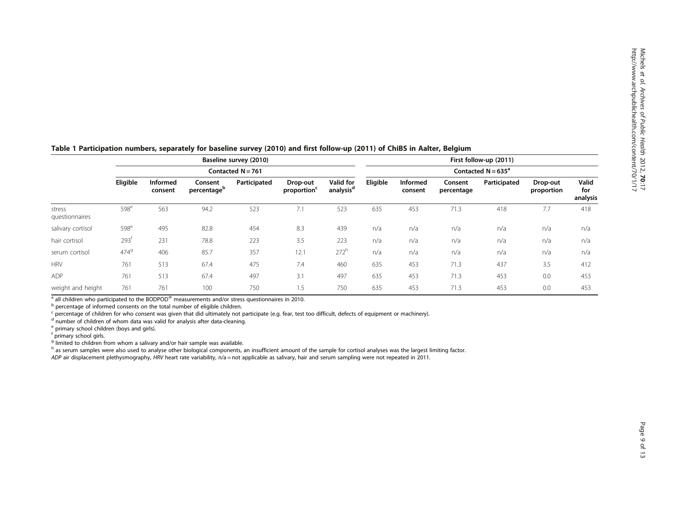|                          | Baseline survey (2010)<br>Contacted $N = 761$ |                            |                                    |              |                                     | First follow-up (2011)             |          |                            |                       |              |                        |                          |
|--------------------------|-----------------------------------------------|----------------------------|------------------------------------|--------------|-------------------------------------|------------------------------------|----------|----------------------------|-----------------------|--------------|------------------------|--------------------------|
|                          |                                               |                            |                                    |              |                                     | Contacted $N = 635^a$              |          |                            |                       |              |                        |                          |
|                          | Eligible                                      | <b>Informed</b><br>consent | Consent<br>percentage <sup>b</sup> | Participated | Drop-out<br>proportion <sup>c</sup> | Valid for<br>analysis <sup>d</sup> | Eligible | <b>Informed</b><br>consent | Consent<br>percentage | Participated | Drop-out<br>proportion | Valid<br>for<br>analysis |
| stress<br>questionnaires | 598 <sup>e</sup>                              | 563                        | 94.2                               | 523          | 7.1                                 | 523                                | 635      | 453                        | 71.3                  | 418          | 7.7                    | 418                      |
| salivary cortisol        | 598 <sup>e</sup>                              | 495                        | 82.8                               | 454          | 8.3                                 | 439                                | n/a      | n/a                        | n/a                   | n/a          | n/a                    | n/a                      |
| hair cortisol            | 293 <sup>t</sup>                              | 231                        | 78.8                               | 223          | 3.5                                 | 223                                | n/a      | n/a                        | n/a                   | n/a          | n/a                    | n/a                      |
| serum cortisol           | $474^9$                                       | 406                        | 85.7                               | 357          | 12.1                                | 272 <sup>h</sup>                   | n/a      | n/a                        | n/a                   | n/a          | n/a                    | n/a                      |
| <b>HRV</b>               | 761                                           | 513                        | 67.4                               | 475          | 7.4                                 | 460                                | 635      | 453                        | 71.3                  | 437          | 3.5                    | 412                      |
| <b>ADP</b>               | 761                                           | 513                        | 67.4                               | 497          | 3.1                                 | 497                                | 635      | 453                        | 71.3                  | 453          | 0.0                    | 453                      |
| weight and height        | 761                                           | 761                        | 100                                | 750          | 1.5                                 | 750                                | 635      | 453                        | 71.3                  | 453          | 0.0                    | 453                      |

## <span id="page-8-0"></span>Table 1 Participation numbers, separately for baseline survey (2010) and first follow-up (2011) of ChiBS in Aalter, Belgium

<sup>a</sup> all children who participated to the BODPOD<sup>®</sup> measurements and/or stress questionnaires in 2010.<br><sup>b</sup> percentage of informed consents on the total number of eligible children.

 $\frac{c}{q}$  percentage of children for who consent was given that did ultimately not participate (e.g. fear, test too difficult, defects of equipment or machinery).<br><sup>d</sup> number of children of whom data was valid for analysis

<sup>e</sup> primary school children (boys and girls).

 $f$  primary school girls.

 $\frac{g}{g}$  limited to children from whom a salivary and/or hair sample was available.

h as serum samples were also used to analyse other biological components, an insufficient amount of the sample for cortisol analyses was the largest limiting factor.

ADP air displacement plethysmography, HRV heart rate variability, n/a = not applicable as salivary, hair and serum sampling were not repeated in 2011.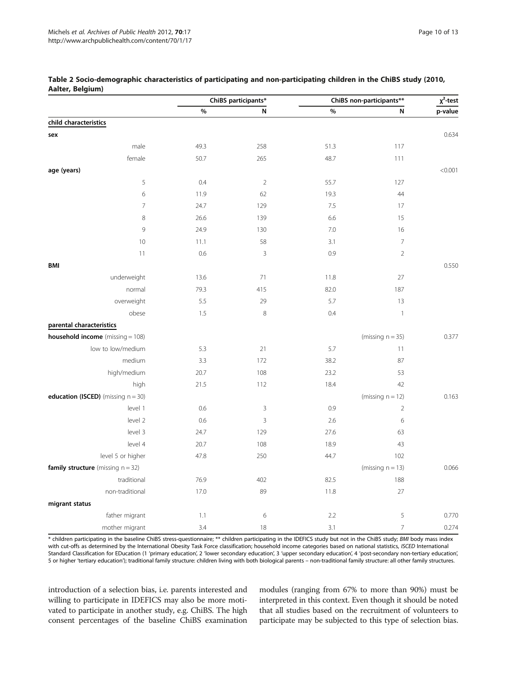|                                              | ChiBS participants* |                           | ChiBS non-participants** |                     | $\chi^2$ -test |
|----------------------------------------------|---------------------|---------------------------|--------------------------|---------------------|----------------|
|                                              | $\%$                | N                         | $\%$                     | N                   | p-value        |
| child characteristics                        |                     |                           |                          |                     |                |
| sex                                          |                     |                           |                          |                     | 0.634          |
| male                                         | 49.3                | 258                       | 51.3                     | 117                 |                |
| female                                       | 50.7                | 265                       | 48.7                     | 111                 |                |
| age (years)                                  |                     |                           |                          |                     | < 0.001        |
| 5                                            | 0.4                 | $\overline{2}$            | 55.7                     | 127                 |                |
| 6                                            | 11.9                | 62                        | 19.3                     | 44                  |                |
| $\overline{7}$                               | 24.7                | 129                       | 7.5                      | 17                  |                |
| $\,8\,$                                      | 26.6                | 139                       | 6.6                      | 15                  |                |
| 9                                            | 24.9                | 130                       | 7.0                      | 16                  |                |
| 10                                           | 11.1                | 58                        | 3.1                      | $\overline{7}$      |                |
| 11                                           | 0.6                 | $\mathbf{3}$              | 0.9                      | $\overline{2}$      |                |
| BMI                                          |                     |                           |                          |                     | 0.550          |
| underweight                                  | 13.6                | 71                        | 11.8                     | 27                  |                |
| normal                                       | 79.3                | 415                       | 82.0                     | 187                 |                |
| overweight                                   | 5.5                 | 29                        | 5.7                      | 13                  |                |
| obese                                        | 1.5                 | $\,8\,$                   | 0.4                      | $\mathbf{1}$        |                |
| parental characteristics                     |                     |                           |                          |                     |                |
| <b>household income</b> (missing = 108)      |                     |                           |                          | (missing $n = 35$ ) | 0.377          |
| low to low/medium                            | 5.3                 | 21                        | 5.7                      | 11                  |                |
| medium                                       | 3.3                 | 172                       | 38.2                     | 87                  |                |
| high/medium                                  | 20.7                | 108                       | 23.2                     | 53                  |                |
| high                                         | 21.5                | 112                       | 18.4                     | 42                  |                |
| <b>education (ISCED)</b> (missing $n = 30$ ) |                     |                           | (missing $n = 12$ )      |                     | 0.163          |
| level 1                                      | 0.6                 | $\mathsf 3$               | 0.9                      | $\sqrt{2}$          |                |
| level 2                                      | 0.6                 | $\ensuremath{\mathsf{3}}$ | 2.6                      | 6                   |                |
| level 3                                      | 24.7                | 129                       | 27.6                     | 63                  |                |
| level 4                                      | 20.7                | 108                       | 18.9                     | 43                  |                |
| level 5 or higher                            | 47.8                | 250                       | 44.7                     | 102                 |                |
| <b>family structure</b> (missing $n = 32$ )  |                     |                           |                          | (missing $n = 13$ ) | 0.066          |
| traditional                                  | 76.9                | 402                       | 82.5                     | 188                 |                |
| non-traditional                              | 17.0                | 89                        | 11.8                     | 27                  |                |
| migrant status                               |                     |                           |                          |                     |                |
| father migrant                               | 1.1                 | 6                         | 2.2                      | 5                   | 0.770          |
| mother migrant                               | 3.4                 | 18                        | 3.1                      | $\overline{7}$      | 0.274          |

#### <span id="page-9-0"></span>Table 2 Socio-demographic characteristics of participating and non-participating children in the ChiBS study (2010, Aalter, Belgium)

\* children participating in the baseline ChiBS stress-questionnaire; \*\* children participating in the IDEFICS study but not in the ChiBS study; BMI body mass index with cut-offs as determined by the International Obesity Task Force classification; household income categories based on national statistics, ISCED International Standard Classification for EDucation (1 'primary education', 2 'lower secondary education', 3 'upper secondary education', 4 'post-secondary non-tertiary education', 5 or higher 'tertiary education'); traditional family structure: children living with both biological parents – non-traditional family structure: all other family structures.

introduction of a selection bias, i.e. parents interested and willing to participate in IDEFICS may also be more motivated to participate in another study, e.g. ChiBS. The high consent percentages of the baseline ChiBS examination modules (ranging from 67% to more than 90%) must be interpreted in this context. Even though it should be noted that all studies based on the recruitment of volunteers to participate may be subjected to this type of selection bias.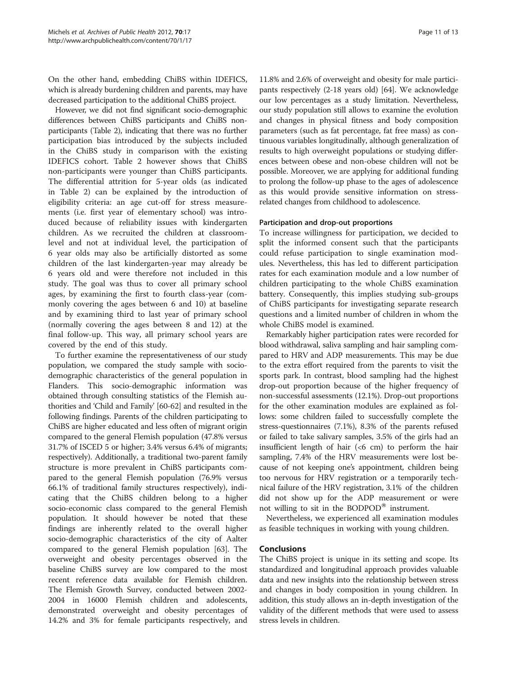On the other hand, embedding ChiBS within IDEFICS, which is already burdening children and parents, may have decreased participation to the additional ChiBS project.

However, we did not find significant socio-demographic differences between ChiBS participants and ChiBS nonparticipants (Table [2\)](#page-9-0), indicating that there was no further participation bias introduced by the subjects included in the ChiBS study in comparison with the existing IDEFICS cohort. Table [2](#page-9-0) however shows that ChiBS non-participants were younger than ChiBS participants. The differential attrition for 5-year olds (as indicated in Table [2](#page-9-0)) can be explained by the introduction of eligibility criteria: an age cut-off for stress measurements (i.e. first year of elementary school) was introduced because of reliability issues with kindergarten children. As we recruited the children at classroomlevel and not at individual level, the participation of 6 year olds may also be artificially distorted as some children of the last kindergarten-year may already be 6 years old and were therefore not included in this study. The goal was thus to cover all primary school ages, by examining the first to fourth class-year (commonly covering the ages between 6 and 10) at baseline and by examining third to last year of primary school (normally covering the ages between 8 and 12) at the final follow-up. This way, all primary school years are covered by the end of this study.

To further examine the representativeness of our study population, we compared the study sample with sociodemographic characteristics of the general population in Flanders. This socio-demographic information was obtained through consulting statistics of the Flemish authorities and 'Child and Family' [\[60-62\]](#page-12-0) and resulted in the following findings. Parents of the children participating to ChiBS are higher educated and less often of migrant origin compared to the general Flemish population (47.8% versus 31.7% of ISCED 5 or higher; 3.4% versus 6.4% of migrants; respectively). Additionally, a traditional two-parent family structure is more prevalent in ChiBS participants compared to the general Flemish population (76.9% versus 66.1% of traditional family structures respectively), indicating that the ChiBS children belong to a higher socio-economic class compared to the general Flemish population. It should however be noted that these findings are inherently related to the overall higher socio-demographic characteristics of the city of Aalter compared to the general Flemish population [[63](#page-12-0)]. The overweight and obesity percentages observed in the baseline ChiBS survey are low compared to the most recent reference data available for Flemish children. The Flemish Growth Survey, conducted between 2002- 2004 in 16000 Flemish children and adolescents, demonstrated overweight and obesity percentages of 14.2% and 3% for female participants respectively, and

11.8% and 2.6% of overweight and obesity for male participants respectively (2-18 years old) [\[64\]](#page-12-0). We acknowledge our low percentages as a study limitation. Nevertheless, our study population still allows to examine the evolution and changes in physical fitness and body composition parameters (such as fat percentage, fat free mass) as continuous variables longitudinally, although generalization of results to high overweight populations or studying differences between obese and non-obese children will not be possible. Moreover, we are applying for additional funding to prolong the follow-up phase to the ages of adolescence as this would provide sensitive information on stressrelated changes from childhood to adolescence.

#### Participation and drop-out proportions

To increase willingness for participation, we decided to split the informed consent such that the participants could refuse participation to single examination modules. Nevertheless, this has led to different participation rates for each examination module and a low number of children participating to the whole ChiBS examination battery. Consequently, this implies studying sub-groups of ChiBS participants for investigating separate research questions and a limited number of children in whom the whole ChiBS model is examined.

Remarkably higher participation rates were recorded for blood withdrawal, saliva sampling and hair sampling compared to HRV and ADP measurements. This may be due to the extra effort required from the parents to visit the sports park. In contrast, blood sampling had the highest drop-out proportion because of the higher frequency of non-successful assessments (12.1%). Drop-out proportions for the other examination modules are explained as follows: some children failed to successfully complete the stress-questionnaires (7.1%), 8.3% of the parents refused or failed to take salivary samples, 3.5% of the girls had an insufficient length of hair  $( $6$  cm) to perform the hair$ sampling, 7.4% of the HRV measurements were lost because of not keeping one's appointment, children being too nervous for HRV registration or a temporarily technical failure of the HRV registration, 3.1% of the children did not show up for the ADP measurement or were not willing to sit in the BODPOD $^{\circledR}$  instrument.

Nevertheless, we experienced all examination modules as feasible techniques in working with young children.

## Conclusions

The ChiBS project is unique in its setting and scope. Its standardized and longitudinal approach provides valuable data and new insights into the relationship between stress and changes in body composition in young children. In addition, this study allows an in-depth investigation of the validity of the different methods that were used to assess stress levels in children.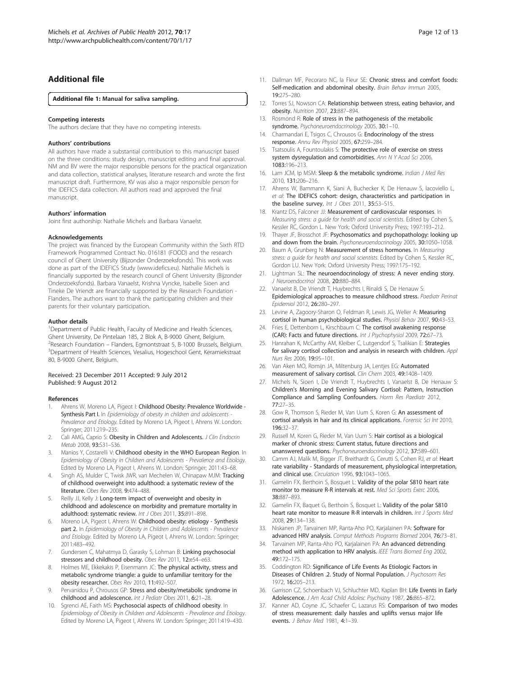## <span id="page-11-0"></span>Additional file

#### [Additional file 1:](http://www.biomedcentral.com/content/supplementary/0778-7367-70-17-S1.pdf) Manual for saliva sampling.

#### Competing interests

The authors declare that they have no competing interests.

#### Authors' contributions

All authors have made a substantial contribution to this manuscript based on the three conditions: study design, manuscript editing and final approval. NM and BV were the major responsible persons for the practical organization and data collection, statistical analyses, literature research and wrote the first manuscript draft. Furthermore, KV was also a major responsible person for the IDEFICS data collection. All authors read and approved the final manuscript.

#### Authors' information

Joint first authorship: Nathalie Michels and Barbara Vanaelst.

#### Acknowledgements

The project was financed by the European Community within the Sixth RTD Framework Programmed Contract No. 016181 (FOOD) and the research council of Ghent University (Bijzonder Onderzoeksfonds). This work was done as part of the IDEFICS Study (www.idefics.eu). Nathalie Michels is financially supported by the research council of Ghent University (Bijzonder Onderzoeksfonds). Barbara Vanaelst, Krishna Vyncke, Isabelle Sioen and Tineke De Vriendt are financially supported by the Research Foundation - Flanders. The authors want to thank the participating children and their parents for their voluntary participation.

#### Author details

<sup>1</sup>Department of Public Health, Faculty of Medicine and Health Sciences, Ghent University, De Pintelaan 185, 2 Blok A, B-9000 Ghent, Belgium. <sup>2</sup>Research Foundation – Flanders, Egmontstraat 5, B-1000 Brussels, Belgium.<br><sup>3</sup>Department of Health Sciences Vesalius, Hogershool Gent, Keramiekstraat. <sup>3</sup>Department of Health Sciences, Vesalius, Hogeschool Gent, Keramiekstraat 80, B-9000 Ghent, Belgium.

#### Received: 23 December 2011 Accepted: 9 July 2012 Published: 9 August 2012

#### References

- 1. Ahrens W, Moreno LA, Pigeot I: Childhood Obesity: Prevalence Worldwide -Synthesis Part I. In Epidemiology of obesity in children and adolescents -Prevalence and Etiology. Edited by Moreno LA, Pigeot I, Ahrens W. London: Springer; 2011:219–235.
- 2. Cali AMG, Caprio S: Obesity in Children and Adolescents. J Clin Endocrin Metab 2008, 93:S31–S36.
- 3. Manios Y, Costarelli V: Childhood obesity in the WHO European Region. In Epidemiology of Obesity in Children and Adolescents - Prevalence and Etiology. Edited by Moreno LA, Pigeot I, Ahrens W. London: Springer; 2011:43–68.
- Singh AS, Mulder C, Twisk JWR, van Mechelen W, Chinapaw MJM: Tracking of childhood overweight into adulthood: a systematic review of the literature. Obes Rev 2008, 9:474–488.
- Reilly JJ, Kelly J: Long-term impact of overweight and obesity in childhood and adolescence on morbidity and premature mortality in adulthood: systematic review. Int J Obes 2011, 35:891-898.
- Moreno LA, Pigeot I, Ahrens W: Childhood obesity: etiology Synthesis part 2. In Epidemiology of Obesity in Children and Adolescents - Prevalence and Etiology. Edited by Moreno LA, Pigeot I, Ahrens W. London: Springer; 2011:483–492.
- 7. Gundersen C, Mahatmya D, Garasky S, Lohman B: Linking psychosocial stressors and childhood obesity. Obes Rev 2011, 12:e54–e63.
- 8. Holmes ME, Ekkekakis P, Eisenmann JC: The physical activity, stress and metabolic syndrome triangle: a guide to unfamiliar territory for the obesity researcher. Obes Rev 2010, 11:492–507.
- 9. Pervanidou P, Chrousos GP: Stress and obesity/metabolic syndrome in childhood and adolescence. Int J Pediatr Obes 2011, 6:21-28.
- 10. Sgrenci AE, Faith MS: Psychosocial aspects of childhood obesity. In Epidemiology of Obesity in Children and Adolescents - Prevalence and Etiology. Edited by Moreno LA, Pigeot I, Ahrens W. London: Springer; 2011:419–430.
- 11. Dallman MF, Pecoraro NC, la Fleur SE: Chronic stress and comfort foods: Self-medication and abdominal obesity. Brain Behav Immun 2005, 19:275–280.
- 12. Torres SJ, Nowson CA: Relationship between stress, eating behavior, and obesity. Nutrition 2007, 23:887–894.
- 13. Rosmond R: Role of stress in the pathogenesis of the metabolic syndrome. Psychoneuroendocrinology 2005, 30:1-10.
- 14. Charmandari E, Tsigos C, Chrousos G: Endocrinology of the stress response. Annu Rev Physiol 2005, 67:259–284.
- 15. Tsatsoulis A, Fountoulakis S: The protective role of exercise on stress system dysregulation and comorbidities. Ann N Y Acad Sci 2006, 1083:196–213.
- 16. Lam JCM, Ip MSM: Sleep & the metabolic syndrome. Indian J Med Res 2010, 131:206–216.
- 17. Ahrens W, Bammann K, Siani A, Buchecker K, De Henauw S, Iacoviello L, et al: The IDEFICS cohort: design, characteristics and participation in the baseline survey. Int J Obes 2011, 35:S3-S15.
- 18. Krantz DS, Falconer JJ: Measurement of cardiovascular responses. In Measuring stress: a quide for health and social scientists. Edited by Cohen S, Kessler RC, Gordon L. New York: Oxford University Press; 1997:193–212.
- 19. Thayer JF, Brosschot JF: Psychosomatics and psychopathology: looking up and down from the brain. Psychoneuroendocrinology 2005, 30:1050–1058.
- 20. Baum A, Grunberg N: Measurement of stress hormones. In Measuring stress: a guide for health and social scientists. Edited by Cohen S, Kessler RC, Gordon LU. New York: Oxford University Press; 1997:175–192.
- 21. Lightman SL: The neuroendocrinology of stress: A never ending story. J Neuroendocrinol 2008, 20:880–884.
- 22. Vanaelst B, De Vriendt T, Huybrechts I, Rinaldi S, De Henauw S: Epidemiological approaches to measure childhood stress. Paediatr Perinat Epidemiol 2012, 26:280–297.
- 23. Levine A, Zagoory-Sharon O, Feldman R, Lewis JG, Weller A: Measuring cortisol in human psychobiological studies. Physiol Behav 2007, 90:43-
- 24. Fries E, Dettenborn L, Kirschbaum C: The cortisol awakening response (CAR): Facts and future directions. Int J Psychophysiol 2009, 72:67–73.
- 25. Hanrahan K, McCarthy AM, Kleiber C, Lutgendorf S, Tsalikian E: Strategies for salivary cortisol collection and analysis in research with children. Appl Nurs Res 2006, 19:95–101.
- 26. Van Aken MO, Romijn JA, Miltenburg JA, Lentjes EG: Automated measurement of salivary cortisol. Clin Chem 2003, 49:1408–1409.
- 27. Michels N, Sioen I, De Vriendt T, Huybrechts I, Vanaelst B, De Henauw S: Children's Morning and Evening Salivary Cortisol: Pattern, Instruction Compliance and Sampling Confounders. Horm Res Paediatr 2012, 77:27–35.
- 28. Gow R, Thomson S, Rieder M, Van Uum S, Koren G: An assessment of cortisol analysis in hair and its clinical applications. Forensic Sci Int 2010, 196:32–37.
- 29. Russell M, Koren G, Rieder M, Van Uum S: Hair cortisol as a biological marker of chronic stress: Current status, future directions and unanswered questions. Psychoneuroendocrinology 2012, 37:589–601.
- 30. Camm AJ, Malik M, Bigger JT, Breithardt G, Cerutti S, Cohen RJ, et al: Heart rate variability - Standards of measurement, physiological interpretation, and clinical use. Circulation 1996, 93:1043–1065.
- 31. Gamelin FX, Berthoin S, Bosquet L: Validity of the polar S810 heart rate monitor to measure R-R intervals at rest. Med Sci Sports Exerc 2006, 38:887–893.
- 32. Gamelin FX, Baquet G, Berthoin S, Bosquet L: Validity of the polar S810 heart rate monitor to measure R-R intervals in children. Int J Sports Med 2008, 29:134–138.
- 33. Niskanen JP, Tarvainen MP, Ranta-Aho PO, Karjalainen PA: Software for advanced HRV analysis. Comput Methods Programs Biomed 2004, 76:73–81.
- 34. Tarvainen MP, Ranta-Aho PO, Karjalainen PA: An advanced detrending method with application to HRV analysis. IEEE Trans Biomed Eng 2002, 49:172–175.
- Coddington RD: Significance of Life Events As Etiologic Factors in Diseases of Children .2. Study of Normal Population. J Psychosom Res 1972, 16:205–213.
- 36. Garrison CZ, Schoenbach VJ, Schluchter MD, Kaplan BH: Life Events in Early Adolescence. J Am Acad Child Adolesc Psychiatry 1987, 26:865-872.
- 37. Kanner AD, Coyne JC, Schaefer C, Lazarus RS: Comparison of two modes of stress measurement: daily hassles and uplifts versus major life events. J Behav Med 1981, 4:1–39.